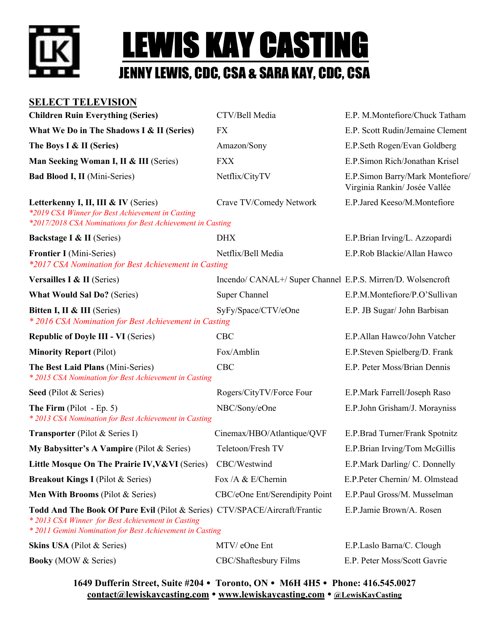



### **SELECT TELEVISION**

| <b>Children Ruin Everything (Series)</b>                                                                                                                                                    | CTV/Bell Media                                              | E.P. M.Montefiore/Chuck Tatham                                    |
|---------------------------------------------------------------------------------------------------------------------------------------------------------------------------------------------|-------------------------------------------------------------|-------------------------------------------------------------------|
| What We Do in The Shadows I & II (Series)                                                                                                                                                   | <b>FX</b>                                                   | E.P. Scott Rudin/Jemaine Clement                                  |
| The Boys I & II (Series)                                                                                                                                                                    | Amazon/Sony                                                 | E.P.Seth Rogen/Evan Goldberg                                      |
| Man Seeking Woman I, II & III (Series)                                                                                                                                                      | <b>FXX</b>                                                  | E.P.Simon Rich/Jonathan Krisel                                    |
| <b>Bad Blood I, II</b> (Mini-Series)                                                                                                                                                        | Netflix/CityTV                                              | E.P.Simon Barry/Mark Montefiore/<br>Virginia Rankin/ Josée Vallée |
| Letterkenny I, II, III & IV (Series)<br>*2019 CSA Winner for Best Achievement in Casting<br>*2017/2018 CSA Nominations for Best Achievement in Casting                                      | Crave TV/Comedy Network                                     | E.P.Jared Keeso/M.Montefiore                                      |
| <b>Backstage I &amp; II (Series)</b>                                                                                                                                                        | <b>DHX</b>                                                  | E.P.Brian Irving/L. Azzopardi                                     |
| <b>Frontier I</b> (Mini-Series)<br>*2017 CSA Nomination for Best Achievement in Casting                                                                                                     | Netflix/Bell Media                                          | E.P.Rob Blackie/Allan Hawco                                       |
| Versailles I & II (Series)                                                                                                                                                                  | Incendo/ CANAL+/ Super Channel E.P.S. Mirren/D. Wolsencroft |                                                                   |
| <b>What Would Sal Do?</b> (Series)                                                                                                                                                          | Super Channel                                               | E.P.M.Montefiore/P.O'Sullivan                                     |
| Bitten I, II & III (Series)<br>* 2016 CSA Nomination for Best Achievement in Casting                                                                                                        | SyFy/Space/CTV/eOne                                         | E.P. JB Sugar/ John Barbisan                                      |
| <b>Republic of Doyle III - VI (Series)</b>                                                                                                                                                  | <b>CBC</b>                                                  | E.P.Allan Hawco/John Vatcher                                      |
| <b>Minority Report (Pilot)</b>                                                                                                                                                              | Fox/Amblin                                                  | E.P.Steven Spielberg/D. Frank                                     |
| The Best Laid Plans (Mini-Series)<br>* 2015 CSA Nomination for Best Achievement in Casting                                                                                                  | CBC                                                         | E.P. Peter Moss/Brian Dennis                                      |
| Seed (Pilot & Series)                                                                                                                                                                       | Rogers/CityTV/Force Four                                    | E.P.Mark Farrell/Joseph Raso                                      |
| <b>The Firm</b> (Pilot - Ep. 5)<br>* 2013 CSA Nomination for Best Achievement in Casting                                                                                                    | NBC/Sony/eOne                                               | E.P.John Grisham/J. Morayniss                                     |
| <b>Transporter</b> (Pilot & Series I)                                                                                                                                                       | Cinemax/HBO/Atlantique/QVF                                  | E.P.Brad Turner/Frank Spotnitz                                    |
| My Babysitter's A Vampire (Pilot & Series)                                                                                                                                                  | Teletoon/Fresh TV                                           | E.P.Brian Irving/Tom McGillis                                     |
| Little Mosque On The Prairie IV, V& VI (Series)                                                                                                                                             | CBC/Westwind                                                | E.P.Mark Darling/ C. Donnelly                                     |
| <b>Breakout Kings I</b> (Pilot & Series)                                                                                                                                                    | Fox /A & E/Chernin                                          | E.P.Peter Chernin/ M. Olmstead                                    |
| Men With Brooms (Pilot & Series)                                                                                                                                                            | CBC/eOne Ent/Serendipity Point                              | E.P.Paul Gross/M. Musselman                                       |
| Todd And The Book Of Pure Evil (Pilot & Series) CTV/SPACE/Aircraft/Frantic<br>* 2013 CSA Winner for Best Achievement in Casting<br>* 2011 Gemini Nomination for Best Achievement in Casting |                                                             | E.P.Jamie Brown/A. Rosen                                          |
| Skins USA (Pilot & Series)                                                                                                                                                                  | MTV/ eOne Ent                                               | E.P.Laslo Barna/C. Clough                                         |
| <b>Booky</b> (MOW & Series)                                                                                                                                                                 | CBC/Shaftesbury Films                                       | E.P. Peter Moss/Scott Gavrie                                      |
|                                                                                                                                                                                             |                                                             |                                                                   |

**1649 Dufferin Street, Suite #204 Toronto, ON M6H 4H5 Phone: 416.545.0027 contact@lewiskaycasting.com www.lewiskaycasting.com @LewisKayCasting**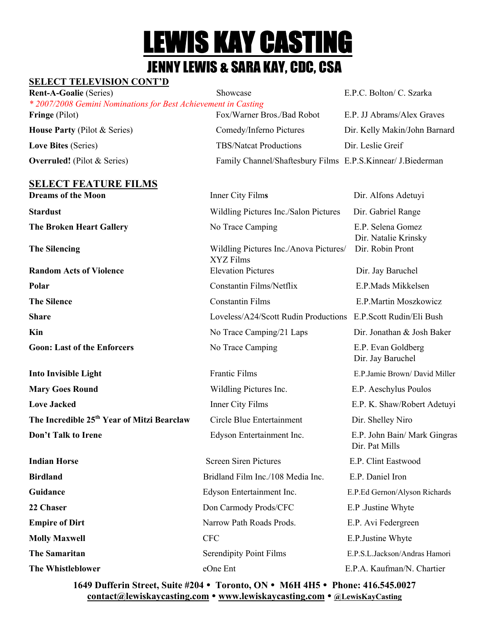# **LEWIS KAY CASTING**<br>Jenny Lewis & Sara Kay, CDC, CSA

### **SELECT TELEVISION CONT'D**

| <b>Rent-A-Goalie</b> (Series)                                  | Showcase                                                    | E.P.C. Bolton/ C. Szarka      |  |  |  |  |
|----------------------------------------------------------------|-------------------------------------------------------------|-------------------------------|--|--|--|--|
| * 2007/2008 Gemini Nominations for Best Achievement in Casting |                                                             |                               |  |  |  |  |
| <b>Fringe</b> (Pilot)                                          | Fox/Warner Bros./Bad Robot                                  | E.P. JJ Abrams/Alex Graves    |  |  |  |  |
| <b>House Party (Pilot &amp; Series)</b>                        | Comedy/Inferno Pictures                                     | Dir. Kelly Makin/John Barnard |  |  |  |  |
| <b>Love Bites (Series)</b>                                     | <b>TBS/Natcat Productions</b>                               | Dir. Leslie Greif             |  |  |  |  |
| <b>Overruled!</b> (Pilot $&$ Series)                           | Family Channel/Shaftesbury Films E.P.S.Kinnear/ J.Biederman |                               |  |  |  |  |
|                                                                |                                                             |                               |  |  |  |  |

### **SELECT FEATURE FILMS**

**Dreams of the Moon Inner City Films Dir. Alfons Adetuyi Stardust** Wildling Pictures Inc./Salon Pictures Dir. Gabriel Range **The Broken Heart Gallery No Trace Camping E.P. Selena Gomez**  Dir. Natalie Krinsky **The Silencing** Wildling Pictures Inc./Anova Pictures/ Dir. Robin Pront XYZ Films **Random Acts of Violence Elevation Pictures** Dir. Jay Baruchel **Polar** Constantin Films/Netflix E.P.Mads Mikkelsen **The Silence Constantin Films** E.P.Martin Moszkowicz **Share** Loveless/A24/Scott Rudin Productions E.P.Scott Rudin/Eli Bush **Kin** No Trace Camping/21 Laps Dir. Jonathan & Josh Baker **Goon: Last of the Enforcers** No Trace Camping E.P. Evan Goldberg Dir. Jay Baruchel **Into Invisible Light** Frantic Films E.P.Jamie Brown/David Miller **Mary Goes Round Community Community Community Community Community Community Community Community Community Community Community Community Community Community Community Community Community Community Community Community Commu Love Jacked Inner City Films** E.P. K. Shaw/Robert Adetuyi **The Incredible 25<sup>th</sup> Year of Mitzi Bearclaw** Circle Blue Entertainment Dir. Shelley Niro **Don't Talk to Irene** Edyson Entertainment Inc. E.P. John Bain/ Mark Gingras Dir. Pat Mills **Indian Horse**  The Screen Siren Pictures **E.P. Clint Eastwood** Screen Siren Pictures **E.P.** Clint Eastwood **Birdland** Bridland **Bridland Film Inc.** /108 Media Inc. E.P. Daniel Iron **Guidance** Edyson Entertainment Inc. E.P.Ed Gernon/Alyson Richards **22 Chaser 22 Chaser Don Carmody Prods/CFC E.P.** Justine Whyte **Empire of Dirt** Narrow Path Roads Prods. E.P. Avi Federgreen **Molly Maxwell CFC CRC E.P.Justine Whyte The Samaritan Serendipity Point Films** E.P.S.L.Jackson/Andras Hamori **E.P.S.L.Jackson The Whistleblower eOne Ent** entry E.P.A. Kaufman/N. Chartier

> **1649 Dufferin Street, Suite #204 Toronto, ON M6H 4H5 Phone: 416.545.0027 contact@lewiskaycasting.com www.lewiskaycasting.com @LewisKayCasting**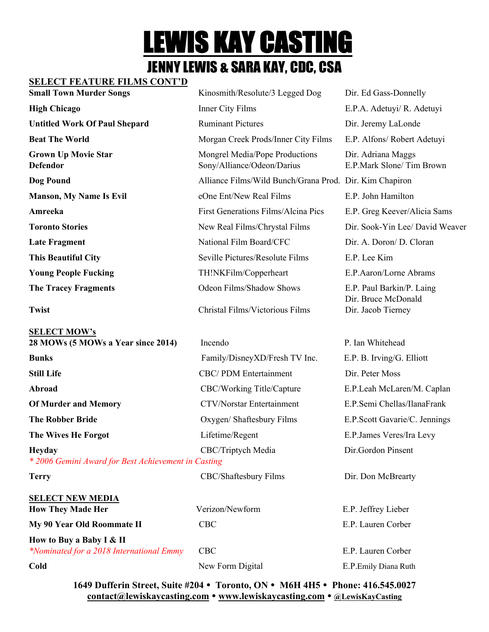# **LEWIS KAY CASTING**<br>JENNY LEWIS & SARA KAY, CDC, CSA

### **SELECT FEATURE FILMS CONT'D**

| <b>Small Town Murder Songs</b>                            | Kinosmith/Resolute/3 Legged Dog                              | Dir. Ed Gass-Donnelly                          |
|-----------------------------------------------------------|--------------------------------------------------------------|------------------------------------------------|
| <b>High Chicago</b>                                       | Inner City Films                                             | E.P.A. Adetuyi/ R. Adetuyi                     |
| <b>Untitled Work Of Paul Shepard</b>                      | <b>Ruminant Pictures</b>                                     | Dir. Jeremy LaLonde                            |
| <b>Beat The World</b>                                     | Morgan Creek Prods/Inner City Films                          | E.P. Alfons/ Robert Adetuyi                    |
| <b>Grown Up Movie Star</b><br><b>Defendor</b>             | Mongrel Media/Pope Productions<br>Sony/Alliance/Odeon/Darius | Dir. Adriana Maggs<br>E.P.Mark Slone/Tim Brown |
| Dog Pound                                                 | Alliance Films/Wild Bunch/Grana Prod. Dir. Kim Chapiron      |                                                |
| <b>Manson, My Name Is Evil</b>                            | eOne Ent/New Real Films                                      | E.P. John Hamilton                             |
| Amreeka                                                   | First Generations Films/Alcina Pics                          | E.P. Greg Keever/Alicia Sams                   |
| <b>Toronto Stories</b>                                    | New Real Films/Chrystal Films                                | Dir. Sook-Yin Lee/ David Weaver                |
| <b>Late Fragment</b>                                      | National Film Board/CFC                                      | Dir. A. Doron/ D. Cloran                       |
| <b>This Beautiful City</b>                                | Seville Pictures/Resolute Films                              | E.P. Lee Kim                                   |
| <b>Young People Fucking</b>                               | TH!NKFilm/Copperheart                                        | E.P.Aaron/Lorne Abrams                         |
| <b>The Tracey Fragments</b>                               | Odeon Films/Shadow Shows                                     | E.P. Paul Barkin/P. Laing                      |
| <b>Twist</b>                                              | Christal Films/Victorious Films                              | Dir. Bruce McDonald<br>Dir. Jacob Tierney      |
| <b>SELECT MOW's</b><br>28 MOWs (5 MOWs a Year since 2014) | Incendo                                                      | P. Ian Whitehead                               |
| <b>Bunks</b>                                              | Family/DisneyXD/Fresh TV Inc.                                | E.P. B. Irving/G. Elliott                      |
| <b>Still Life</b>                                         | <b>CBC/PDM</b> Entertainment                                 | Dir. Peter Moss                                |
| Abroad                                                    | CBC/Working Title/Capture                                    | E.P.Leah McLaren/M. Caplan                     |
| <b>Of Murder and Memory</b>                               | <b>CTV/Norstar Entertainment</b>                             | E.P.Semi Chellas/IlanaFrank                    |
| <b>The Robber Bride</b>                                   | Oxygen/ Shaftesbury Films                                    | E.P.Scott Gavarie/C. Jennings                  |

**The Wives He Forgot** Lifetime/Regent E.P. James Veres/Ira Levy

**SELECT NEW MEDIA**

**Heyday** CBC/Triptych Media Dir.Gordon Pinsent *\* 2006 Gemini Award for Best Achievement in Casting*

**Terry** CBC/Shaftesbury Films Dir. Don McBrearty

| SELECT NEW MEDIA                         |                  |                       |
|------------------------------------------|------------------|-----------------------|
| <b>How They Made Her</b>                 | Verizon/Newform  | E.P. Jeffrey Lieber   |
| My 90 Year Old Roommate II               | CBC.             | E.P. Lauren Corber    |
| How to Buy a Baby I & II                 |                  |                       |
| *Nominated for a 2018 International Emmy | CBC -            | E.P. Lauren Corber    |
| Cold                                     | New Form Digital | E.P. Emily Diana Ruth |

**1649 Dufferin Street, Suite #204 Toronto, ON M6H 4H5 Phone: 416.545.0027 contact@lewiskaycasting.com www.lewiskaycasting.com @LewisKayCasting**